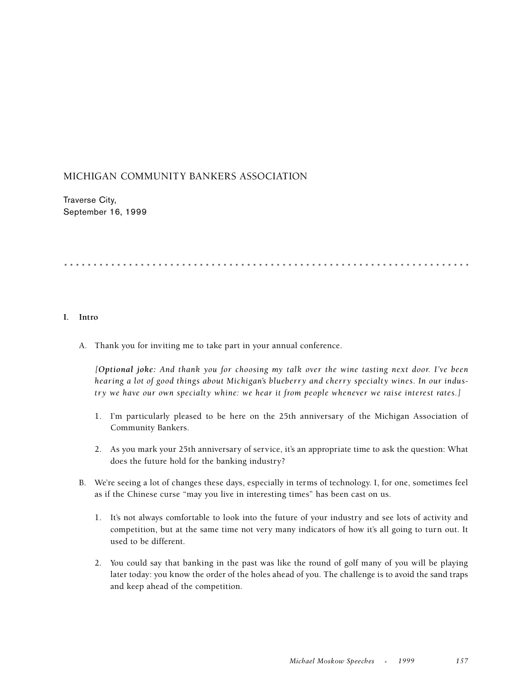## MICHIGAN COMMUNITY BANKERS ASSOCIATION

Traverse City, September 16, 1999

# .....................................................................

#### **I. Intro**

A. Thank you for inviting me to take part in your annual conference.

*[Optional joke: And thank you for choosing my talk over the wine tasting next door. I've been hearing a lot of good things about Michigan's blueberry and cherry specialty wines. In our industry we have our own specialty whine: we hear it from people whenever we raise interest rates.]*

- 1. I'm particularly pleased to be here on the 25th anniversary of the Michigan Association of Community Bankers.
- 2. As you mark your 25th anniversary of service, it's an appropriate time to ask the question: What does the future hold for the banking industry?
- B. We're seeing a lot of changes these days, especially in terms of technology. I, for one, sometimes feel as if the Chinese curse "may you live in interesting times" has been cast on us.
	- 1. It's not always comfortable to look into the future of your industry and see lots of activity and competition, but at the same time not very many indicators of how it's all going to turn out. It used to be different.
	- 2. You could say that banking in the past was like the round of golf many of you will be playing later today: you know the order of the holes ahead of you. The challenge is to avoid the sand traps and keep ahead of the competition.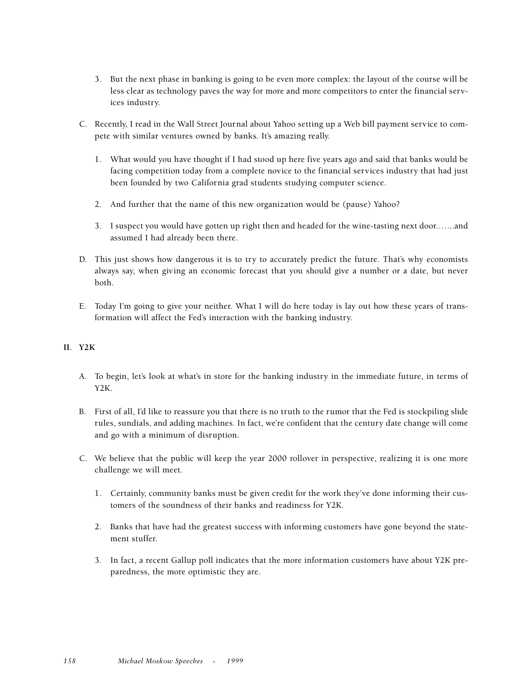- 3. But the next phase in banking is going to be even more complex: the layout of the course will be less clear as technology paves the way for more and more competitors to enter the financial services industry.
- C. Recently, I read in the Wall Street Journal about Yahoo setting up a Web bill payment service to compete with similar ventures owned by banks. It's amazing really.
	- 1. What would you have thought if I had stood up here five years ago and said that banks would be facing competition today from a complete novice to the financial services industry that had just been founded by two California grad students studying computer science.
	- 2. And further that the name of this new organization would be (pause) Yahoo?
	- 3. I suspect you would have gotten up right then and headed for the wine-tasting next door.…...and assumed I had already been there.
- D. This just shows how dangerous it is to try to accurately predict the future. That's why economists always say, when giving an economic forecast that you should give a number or a date, but never both.
- E. Today I'm going to give your neither. What I will do here today is lay out how these years of transformation will affect the Fed's interaction with the banking industry.

#### **II. Y2K**

- A. To begin, let's look at what's in store for the banking industry in the immediate future, in terms of Y2K.
- B. First of all, I'd like to reassure you that there is no truth to the rumor that the Fed is stockpiling slide rules, sundials, and adding machines. In fact, we're confident that the century date change will come and go with a minimum of disruption.
- C. We believe that the public will keep the year 2000 rollover in perspective, realizing it is one more challenge we will meet.
	- 1. Certainly, community banks must be given credit for the work they've done informing their customers of the soundness of their banks and readiness for Y2K.
	- 2. Banks that have had the greatest success with informing customers have gone beyond the statement stuffer.
	- 3. In fact, a recent Gallup poll indicates that the more information customers have about Y2K preparedness, the more optimistic they are.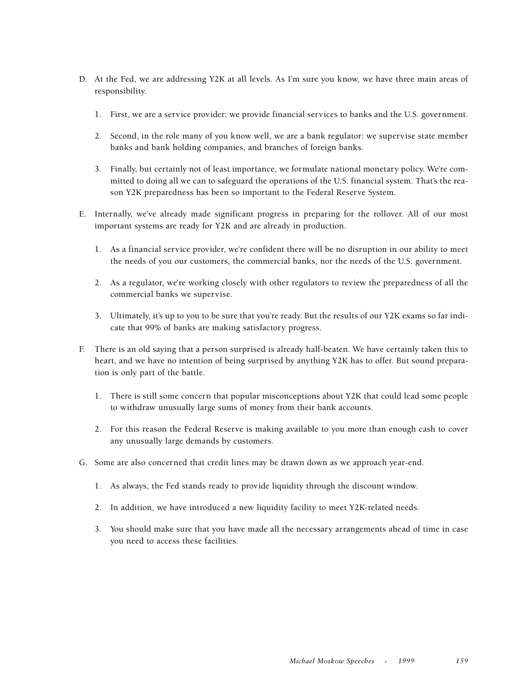- D. At the Fed, we are addressing Y2K at all levels. As I'm sure you know, we have three main areas of responsibility.
	- 1. First, we are a service provider: we provide financial services to banks and the U.S. government.
	- 2. Second, in the role many of you know well, we are a bank regulator: we supervise state member banks and bank holding companies, and branches of foreign banks.
	- 3. Finally, but certainly not of least importance, we formulate national monetary policy. We're committed to doing all we can to safeguard the operations of the U.S. financial system. That's the reason Y2K preparedness has been so important to the Federal Reserve System.
- E. Internally, we've already made significant progress in preparing for the rollover. All of our most important systems are ready for Y2K and are already in production.
	- 1. As a financial service provider, we're confident there will be no disruption in our ability to meet the needs of you our customers, the commercial banks, nor the needs of the U.S. government.
	- 2. As a regulator, we're working closely with other regulators to review the preparedness of all the commercial banks we supervise.
	- 3. Ultimately, it's up to you to be sure that you're ready. But the results of our Y2K exams so far indicate that 99% of banks are making satisfactory progress.
- F. There is an old saying that a person surprised is already half-beaten. We have certainly taken this to heart, and we have no intention of being surprised by anything Y2K has to offer. But sound preparation is only part of the battle.
	- 1. There is still some concern that popular misconceptions about Y2K that could lead some people to withdraw unusually large sums of money from their bank accounts.
	- 2. For this reason the Federal Reserve is making available to you more than enough cash to cover any unusually large demands by customers.
- G. Some are also concerned that credit lines may be drawn down as we approach year-end.
	- 1. As always, the Fed stands ready to provide liquidity through the discount window.
	- 2. In addition, we have introduced a new liquidity facility to meet Y2K-related needs.
	- 3. You should make sure that you have made all the necessary arrangements ahead of time in case you need to access these facilities.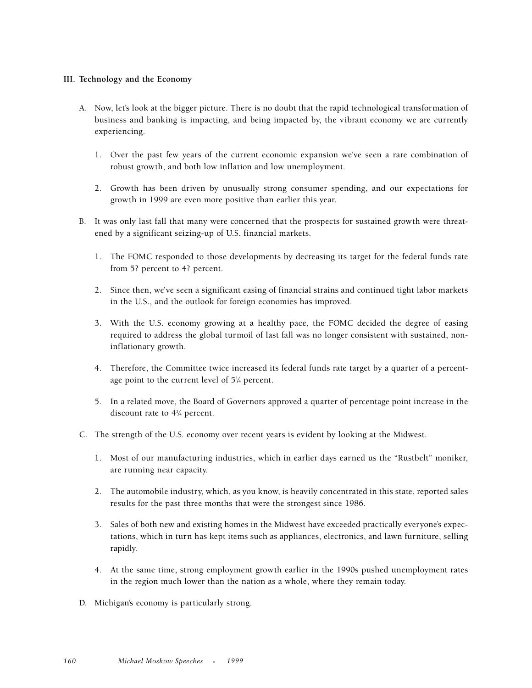#### **III. Technology and the Economy**

- A. Now, let's look at the bigger picture. There is no doubt that the rapid technological transformation of business and banking is impacting, and being impacted by, the vibrant economy we are currently experiencing.
	- 1. Over the past few years of the current economic expansion we've seen a rare combination of robust growth, and both low inflation and low unemployment.
	- 2. Growth has been driven by unusually strong consumer spending, and our expectations for growth in 1999 are even more positive than earlier this year.
- B. It was only last fall that many were concerned that the prospects for sustained growth were threatened by a significant seizing-up of U.S. financial markets.
	- 1. The FOMC responded to those developments by decreasing its target for the federal funds rate from 5? percent to 4? percent.
	- 2. Since then, we've seen a significant easing of financial strains and continued tight labor markets in the U.S., and the outlook for foreign economies has improved.
	- 3. With the U.S. economy growing at a healthy pace, the FOMC decided the degree of easing required to address the global turmoil of last fall was no longer consistent with sustained, noninflationary growth.
	- 4. Therefore, the Committee twice increased its federal funds rate target by a quarter of a percentage point to the current level of 51 ⁄4 percent.
	- 5. In a related move, the Board of Governors approved a quarter of percentage point increase in the discount rate to 43 ⁄4 percent.
- C. The strength of the U.S. economy over recent years is evident by looking at the Midwest.
	- 1. Most of our manufacturing industries, which in earlier days earned us the "Rustbelt" moniker, are running near capacity.
	- 2. The automobile industry, which, as you know, is heavily concentrated in this state, reported sales results for the past three months that were the strongest since 1986.
	- 3. Sales of both new and existing homes in the Midwest have exceeded practically everyone's expectations, which in turn has kept items such as appliances, electronics, and lawn furniture, selling rapidly.
	- 4. At the same time, strong employment growth earlier in the 1990s pushed unemployment rates in the region much lower than the nation as a whole, where they remain today.
- D. Michigan's economy is particularly strong.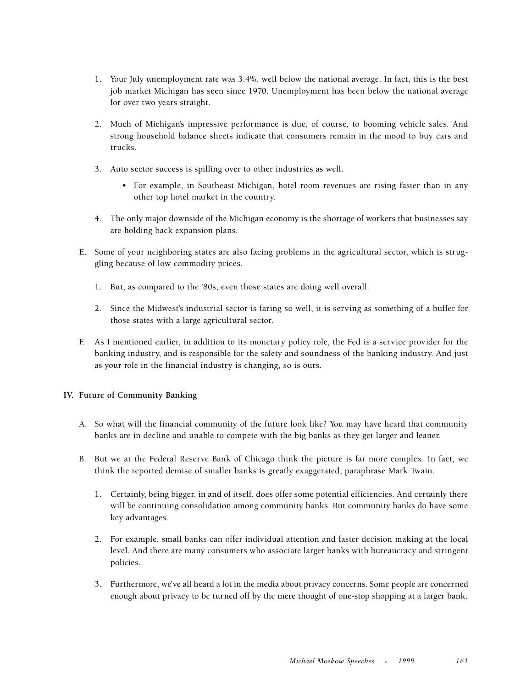- 1. Your July unemployment rate was 3.4%, well below the national average. In fact, this is the best job market Michigan has seen since 1970. Unemployment has been below the national average for over two years straight.
- 2. Much of Michigan's impressive performance is due, of course, to booming vehicle sales. And strong household balance sheets indicate that consumers remain in the mood to buy cars and trucks.
- 3. Auto sector success is spilling over to other industries as well.
	- For example, in Southeast Michigan, hotel room revenues are rising faster than in any other top hotel market in the country.
- 4. The only major downside of the Michigan economy is the shortage of workers that businesses say are holding back expansion plans.
- E. Some of your neighboring states are also facing problems in the agricultural sector, which is struggling because of low commodity prices.
	- 1. But, as compared to the '80s, even those states are doing well overall.
	- 2. Since the Midwest's industrial sector is faring so well, it is serving as something of a buffer for those states with a large agricultural sector.
- F. As I mentioned earlier, in addition to its monetary policy role, the Fed is a service provider for the banking industry, and is responsible for the safety and soundness of the banking industry. And just as your role in the financial industry is changing, so is ours.

#### **IV. Future of Community Banking**

- A. So what will the financial community of the future look like? You may have heard that community banks are in decline and unable to compete with the big banks as they get larger and leaner.
- B. But we at the Federal Reserve Bank of Chicago think the picture is far more complex. In fact, we think the reported demise of smaller banks is greatly exaggerated, paraphrase Mark Twain.
	- 1. Certainly, being bigger, in and of itself, does offer some potential efficiencies. And certainly there will be continuing consolidation among community banks. But community banks do have some key advantages.
	- 2. For example, small banks can offer individual attention and faster decision making at the local level. And there are many consumers who associate larger banks with bureaucracy and stringent policies.
	- 3. Furthermore, we've all heard a lot in the media about privacy concerns. Some people are concerned enough about privacy to be turned off by the mere thought of one-stop shopping at a larger bank.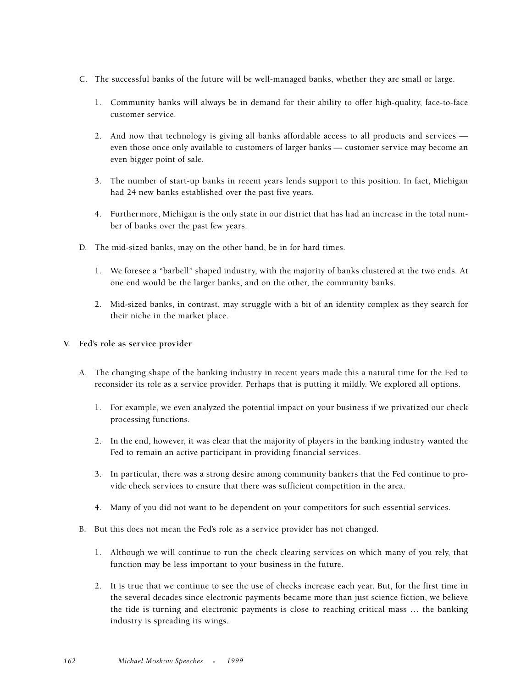- C. The successful banks of the future will be well-managed banks, whether they are small or large.
	- 1. Community banks will always be in demand for their ability to offer high-quality, face-to-face customer service.
	- 2. And now that technology is giving all banks affordable access to all products and services even those once only available to customers of larger banks — customer service may become an even bigger point of sale.
	- 3. The number of start-up banks in recent years lends support to this position. In fact, Michigan had 24 new banks established over the past five years.
	- 4. Furthermore, Michigan is the only state in our district that has had an increase in the total number of banks over the past few years.
- D. The mid-sized banks, may on the other hand, be in for hard times.
	- 1. We foresee a "barbell" shaped industry, with the majority of banks clustered at the two ends. At one end would be the larger banks, and on the other, the community banks.
	- 2. Mid-sized banks, in contrast, may struggle with a bit of an identity complex as they search for their niche in the market place.

#### **V. Fed's role as service provider**

- A. The changing shape of the banking industry in recent years made this a natural time for the Fed to reconsider its role as a service provider. Perhaps that is putting it mildly. We explored all options.
	- 1. For example, we even analyzed the potential impact on your business if we privatized our check processing functions.
	- 2. In the end, however, it was clear that the majority of players in the banking industry wanted the Fed to remain an active participant in providing financial services.
	- 3. In particular, there was a strong desire among community bankers that the Fed continue to provide check services to ensure that there was sufficient competition in the area.
	- 4. Many of you did not want to be dependent on your competitors for such essential services.
- B. But this does not mean the Fed's role as a service provider has not changed.
	- 1. Although we will continue to run the check clearing services on which many of you rely, that function may be less important to your business in the future.
	- 2. It is true that we continue to see the use of checks increase each year. But, for the first time in the several decades since electronic payments became more than just science fiction, we believe the tide is turning and electronic payments is close to reaching critical mass … the banking industry is spreading its wings.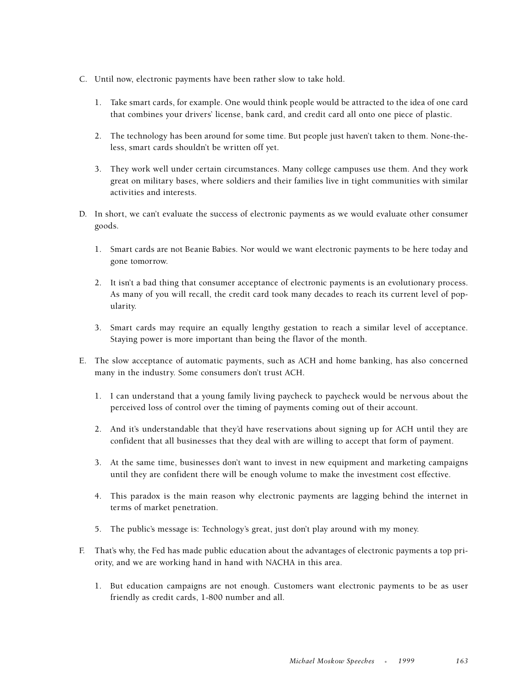- C. Until now, electronic payments have been rather slow to take hold.
	- 1. Take smart cards, for example. One would think people would be attracted to the idea of one card that combines your drivers' license, bank card, and credit card all onto one piece of plastic.
	- 2. The technology has been around for some time. But people just haven't taken to them. None-theless, smart cards shouldn't be written off yet.
	- 3. They work well under certain circumstances. Many college campuses use them. And they work great on military bases, where soldiers and their families live in tight communities with similar activities and interests.
- D. In short, we can't evaluate the success of electronic payments as we would evaluate other consumer goods.
	- 1. Smart cards are not Beanie Babies. Nor would we want electronic payments to be here today and gone tomorrow.
	- 2. It isn't a bad thing that consumer acceptance of electronic payments is an evolutionary process. As many of you will recall, the credit card took many decades to reach its current level of popularity.
	- 3. Smart cards may require an equally lengthy gestation to reach a similar level of acceptance. Staying power is more important than being the flavor of the month.
- E. The slow acceptance of automatic payments, such as ACH and home banking, has also concerned many in the industry. Some consumers don't trust ACH.
	- 1. I can understand that a young family living paycheck to paycheck would be nervous about the perceived loss of control over the timing of payments coming out of their account.
	- 2. And it's understandable that they'd have reservations about signing up for ACH until they are confident that all businesses that they deal with are willing to accept that form of payment.
	- 3. At the same time, businesses don't want to invest in new equipment and marketing campaigns until they are confident there will be enough volume to make the investment cost effective.
	- 4. This paradox is the main reason why electronic payments are lagging behind the internet in terms of market penetration.
	- 5. The public's message is: Technology's great, just don't play around with my money.
- F. That's why, the Fed has made public education about the advantages of electronic payments a top priority, and we are working hand in hand with NACHA in this area.
	- 1. But education campaigns are not enough. Customers want electronic payments to be as user friendly as credit cards, 1-800 number and all.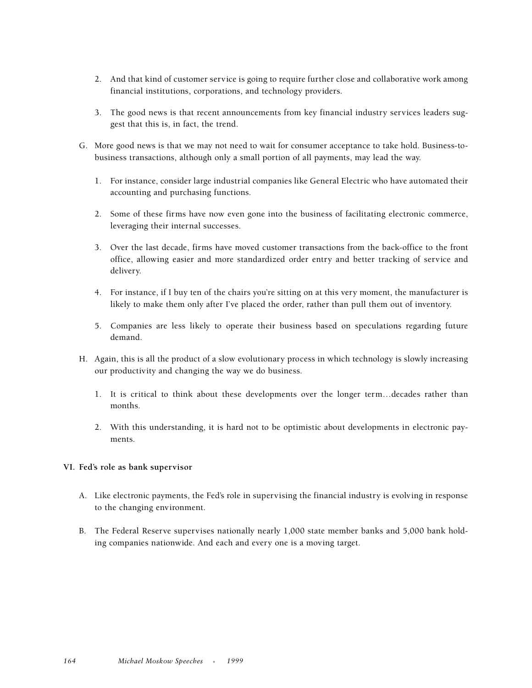- 2. And that kind of customer service is going to require further close and collaborative work among financial institutions, corporations, and technology providers.
- 3. The good news is that recent announcements from key financial industry services leaders suggest that this is, in fact, the trend.
- G. More good news is that we may not need to wait for consumer acceptance to take hold. Business-tobusiness transactions, although only a small portion of all payments, may lead the way.
	- 1. For instance, consider large industrial companies like General Electric who have automated their accounting and purchasing functions.
	- 2. Some of these firms have now even gone into the business of facilitating electronic commerce, leveraging their internal successes.
	- 3. Over the last decade, firms have moved customer transactions from the back-office to the front office, allowing easier and more standardized order entry and better tracking of service and delivery.
	- 4. For instance, if I buy ten of the chairs you're sitting on at this very moment, the manufacturer is likely to make them only after I've placed the order, rather than pull them out of inventory.
	- 5. Companies are less likely to operate their business based on speculations regarding future demand.
- H. Again, this is all the product of a slow evolutionary process in which technology is slowly increasing our productivity and changing the way we do business.
	- 1. It is critical to think about these developments over the longer term…decades rather than months.
	- 2. With this understanding, it is hard not to be optimistic about developments in electronic payments.

#### **VI. Fed's role as bank supervisor**

- A. Like electronic payments, the Fed's role in supervising the financial industry is evolving in response to the changing environment.
- B. The Federal Reserve supervises nationally nearly 1,000 state member banks and 5,000 bank holding companies nationwide. And each and every one is a moving target.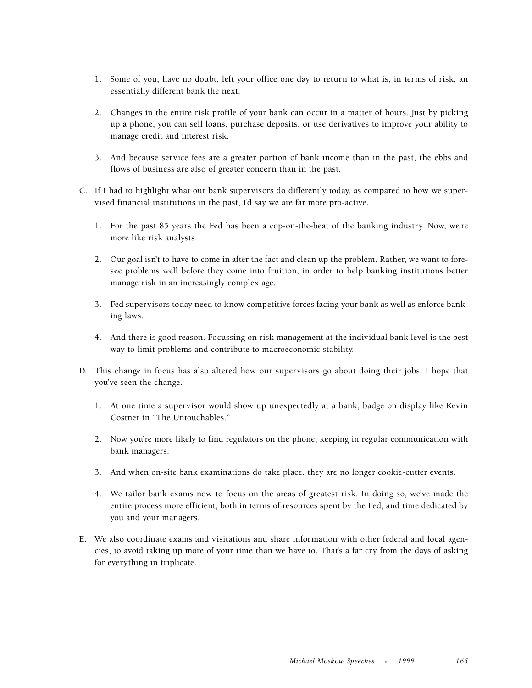- 1. Some of you, have no doubt, left your office one day to return to what is, in terms of risk, an essentially different bank the next.
- 2. Changes in the entire risk profile of your bank can occur in a matter of hours. Just by picking up a phone, you can sell loans, purchase deposits, or use derivatives to improve your ability to manage credit and interest risk.
- 3. And because service fees are a greater portion of bank income than in the past, the ebbs and flows of business are also of greater concern than in the past.
- C. If I had to highlight what our bank supervisors do differently today, as compared to how we supervised financial institutions in the past, I'd say we are far more pro-active.
	- 1. For the past 85 years the Fed has been a cop-on-the-beat of the banking industry. Now, we're more like risk analysts.
	- 2. Our goal isn't to have to come in after the fact and clean up the problem. Rather, we want to foresee problems well before they come into fruition, in order to help banking institutions better manage risk in an increasingly complex age.
	- 3. Fed supervisors today need to know competitive forces facing your bank as well as enforce banking laws.
	- 4. And there is good reason. Focussing on risk management at the individual bank level is the best way to limit problems and contribute to macroeconomic stability.
- D. This change in focus has also altered how our supervisors go about doing their jobs. I hope that you've seen the change.
	- 1. At one time a supervisor would show up unexpectedly at a bank, badge on display like Kevin Costner in "The Untouchables."
	- 2. Now you're more likely to find regulators on the phone, keeping in regular communication with bank managers.
	- 3. And when on-site bank examinations do take place, they are no longer cookie-cutter events.
	- 4. We tailor bank exams now to focus on the areas of greatest risk. In doing so, we've made the entire process more efficient, both in terms of resources spent by the Fed, and time dedicated by you and your managers.
- E. We also coordinate exams and visitations and share information with other federal and local agencies, to avoid taking up more of your time than we have to. That's a far cry from the days of asking for everything in triplicate.